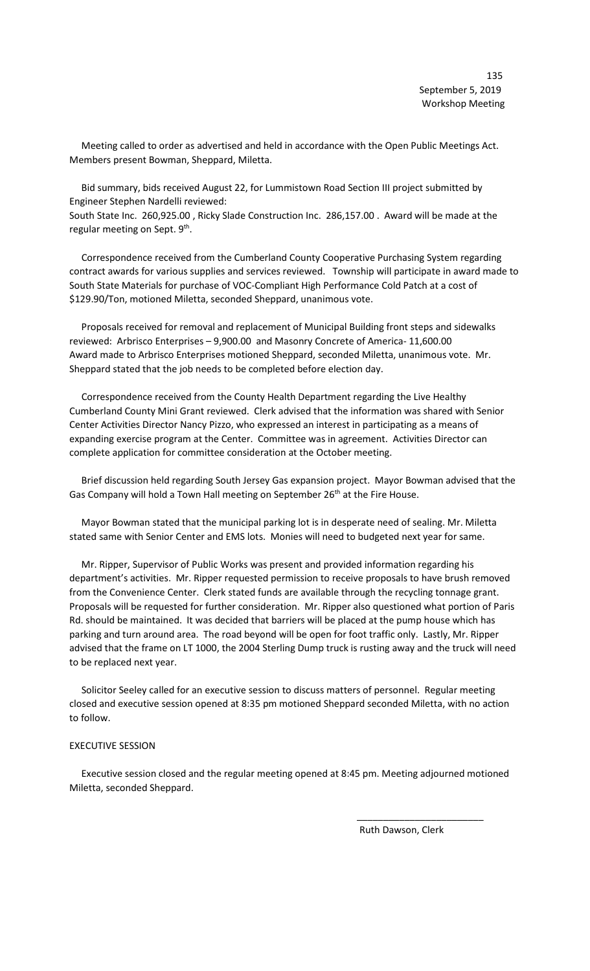Meeting called to order as advertised and held in accordance with the Open Public Meetings Act. Members present Bowman, Sheppard, Miletta.

 Bid summary, bids received August 22, for Lummistown Road Section III project submitted by Engineer Stephen Nardelli reviewed:

South State Inc. 260,925.00 , Ricky Slade Construction Inc. 286,157.00 . Award will be made at the regular meeting on Sept.  $9<sup>th</sup>$ .

 Correspondence received from the Cumberland County Cooperative Purchasing System regarding contract awards for various supplies and services reviewed. Township will participate in award made to South State Materials for purchase of VOC-Compliant High Performance Cold Patch at a cost of \$129.90/Ton, motioned Miletta, seconded Sheppard, unanimous vote.

 Proposals received for removal and replacement of Municipal Building front steps and sidewalks reviewed: Arbrisco Enterprises – 9,900.00 and Masonry Concrete of America- 11,600.00 Award made to Arbrisco Enterprises motioned Sheppard, seconded Miletta, unanimous vote. Mr. Sheppard stated that the job needs to be completed before election day.

 Correspondence received from the County Health Department regarding the Live Healthy Cumberland County Mini Grant reviewed. Clerk advised that the information was shared with Senior Center Activities Director Nancy Pizzo, who expressed an interest in participating as a means of expanding exercise program at the Center. Committee was in agreement. Activities Director can complete application for committee consideration at the October meeting.

 Brief discussion held regarding South Jersey Gas expansion project. Mayor Bowman advised that the Gas Company will hold a Town Hall meeting on September 26<sup>th</sup> at the Fire House.

 Mayor Bowman stated that the municipal parking lot is in desperate need of sealing. Mr. Miletta stated same with Senior Center and EMS lots. Monies will need to budgeted next year for same.

 Mr. Ripper, Supervisor of Public Works was present and provided information regarding his department's activities. Mr. Ripper requested permission to receive proposals to have brush removed from the Convenience Center. Clerk stated funds are available through the recycling tonnage grant. Proposals will be requested for further consideration. Mr. Ripper also questioned what portion of Paris Rd. should be maintained. It was decided that barriers will be placed at the pump house which has parking and turn around area. The road beyond will be open for foot traffic only. Lastly, Mr. Ripper advised that the frame on LT 1000, the 2004 Sterling Dump truck is rusting away and the truck will need to be replaced next year.

 Solicitor Seeley called for an executive session to discuss matters of personnel. Regular meeting closed and executive session opened at 8:35 pm motioned Sheppard seconded Miletta, with no action to follow.

## EXECUTIVE SESSION

 Executive session closed and the regular meeting opened at 8:45 pm. Meeting adjourned motioned Miletta, seconded Sheppard.

 $\frac{1}{\sqrt{2}}$  ,  $\frac{1}{\sqrt{2}}$  ,  $\frac{1}{\sqrt{2}}$  ,  $\frac{1}{\sqrt{2}}$  ,  $\frac{1}{\sqrt{2}}$  ,  $\frac{1}{\sqrt{2}}$  ,  $\frac{1}{\sqrt{2}}$  ,  $\frac{1}{\sqrt{2}}$  ,  $\frac{1}{\sqrt{2}}$  ,  $\frac{1}{\sqrt{2}}$  ,  $\frac{1}{\sqrt{2}}$  ,  $\frac{1}{\sqrt{2}}$  ,  $\frac{1}{\sqrt{2}}$  ,  $\frac{1}{\sqrt{2}}$  ,  $\frac{1}{\sqrt{2}}$ 

Ruth Dawson, Clerk